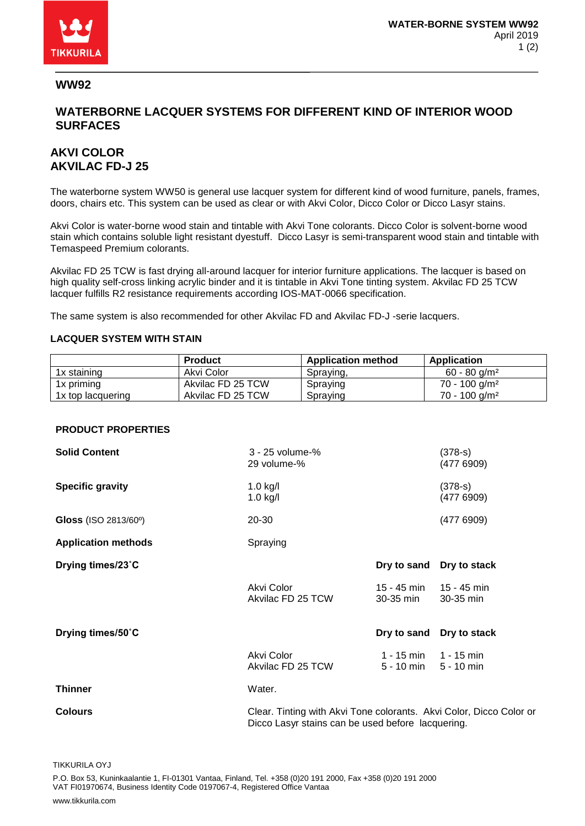

### **WW92**

## **WATERBORNE LACQUER SYSTEMS FOR DIFFERENT KIND OF INTERIOR WOOD SURFACES**

# **AKVI COLOR AKVILAC FD-J 25**

The waterborne system WW50 is general use lacquer system for different kind of wood furniture, panels, frames, doors, chairs etc. This system can be used as clear or with Akvi Color, Dicco Color or Dicco Lasyr stains.

Akvi Color is water-borne wood stain and tintable with Akvi Tone colorants. Dicco Color is solvent-borne wood stain which contains soluble light resistant dyestuff. Dicco Lasyr is semi-transparent wood stain and tintable with Temaspeed Premium colorants.

Akvilac FD 25 TCW is fast drying all-around lacquer for interior furniture applications. The lacquer is based on high quality self-cross linking acrylic binder and it is tintable in Akvi Tone tinting system. Akvilac FD 25 TCW lacquer fulfills R2 resistance requirements according IOS-MAT-0066 specification.

The same system is also recommended for other Akvilac FD and Akvilac FD-J -serie lacquers.

#### **LACQUER SYSTEM WITH STAIN**

|                   | <b>Product</b>    | <b>Application method</b> | Application                 |
|-------------------|-------------------|---------------------------|-----------------------------|
| 1x staining       | Akvi Color        | Spraying,                 | $60 - 80$ g/m <sup>2</sup>  |
| 1x priming        | Akvilac FD 25 TCW | Spraying                  | $70 - 100$ g/m <sup>2</sup> |
| 1x top lacquering | Akvilac FD 25 TCW | Spraying                  | $70 - 100$ g/m <sup>2</sup> |

#### **PRODUCT PROPERTIES**

| <b>Solid Content</b>       | 3 - 25 volume-%<br>29 volume-%                                      |                                          | $(378 - s)$<br>(477 6909) |
|----------------------------|---------------------------------------------------------------------|------------------------------------------|---------------------------|
| <b>Specific gravity</b>    | $1.0$ kg/l<br>$1.0$ kg/l                                            |                                          | $(378 - s)$<br>(4776909)  |
| Gloss (ISO 2813/60°)       | 20-30                                                               |                                          | (4776909)                 |
| <b>Application methods</b> | Spraying                                                            |                                          |                           |
| Drying times/23°C          |                                                                     | Dry to sand                              | Dry to stack              |
|                            | Akvi Color<br>Akvilac FD 25 TCW                                     | $15 - 45$ min $15 - 45$ min<br>30-35 min | 30-35 min                 |
| Drying times/50°C          |                                                                     | Dry to sand                              | Dry to stack              |
|                            | Akvi Color<br>Akvilac FD 25 TCW                                     | 1 - 15 min 1 - 15 min<br>5 - 10 min      | $5 - 10$ min              |
| <b>Thinner</b>             | Water.                                                              |                                          |                           |
| <b>Colours</b>             | Clear. Tinting with Akvi Tone colorants. Akvi Color, Dicco Color or |                                          |                           |

Dicco Lasyr stains can be used before lacquering.

TIKKURILA OYJ

P.O. Box 53, Kuninkaalantie 1, FI-01301 Vantaa, Finland, Tel. +358 (0)20 191 2000, Fax +358 (0)20 191 2000 VAT FI01970674, Business Identity Code 0197067-4, Registered Office Vantaa